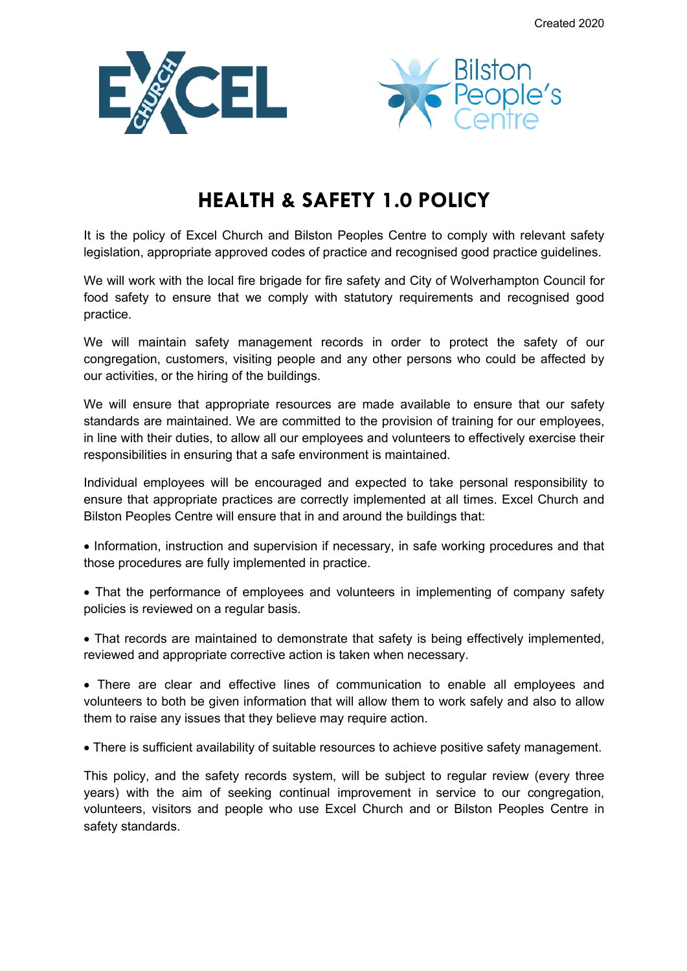



## **HEALTH & SAFETY 1.0 POLICY**

It is the policy of Excel Church and Bilston Peoples Centre to comply with relevant safety legislation, appropriate approved codes of practice and recognised good practice guidelines.

We will work with the local fire brigade for fire safety and City of Wolverhampton Council for food safety to ensure that we comply with statutory requirements and recognised good practice.

We will maintain safety management records in order to protect the safety of our congregation, customers, visiting people and any other persons who could be affected by our activities, or the hiring of the buildings.

We will ensure that appropriate resources are made available to ensure that our safety standards are maintained. We are committed to the provision of training for our employees, in line with their duties, to allow all our employees and volunteers to effectively exercise their responsibilities in ensuring that a safe environment is maintained.

Individual employees will be encouraged and expected to take personal responsibility to ensure that appropriate practices are correctly implemented at all times. Excel Church and Bilston Peoples Centre will ensure that in and around the buildings that:

- Information, instruction and supervision if necessary, in safe working procedures and that those procedures are fully implemented in practice.
- That the performance of employees and volunteers in implementing of company safety policies is reviewed on a regular basis.
- That records are maintained to demonstrate that safety is being effectively implemented, reviewed and appropriate corrective action is taken when necessary.

• There are clear and effective lines of communication to enable all employees and volunteers to both be given information that will allow them to work safely and also to allow them to raise any issues that they believe may require action.

• There is sufficient availability of suitable resources to achieve positive safety management.

This policy, and the safety records system, will be subject to regular review (every three years) with the aim of seeking continual improvement in service to our congregation, volunteers, visitors and people who use Excel Church and or Bilston Peoples Centre in safety standards.